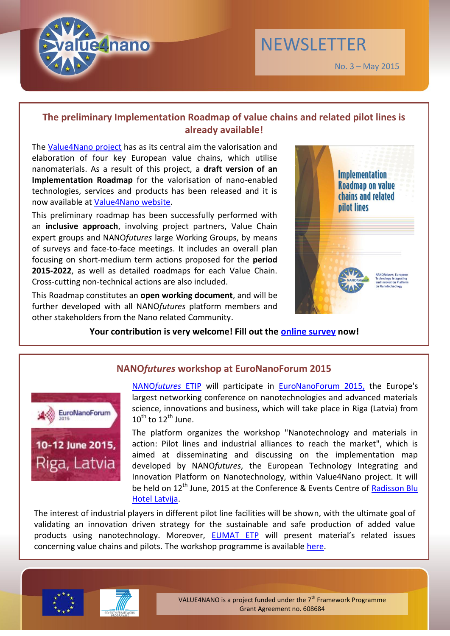

# **The preliminary Implementation Roadmap of value chains and related pilot lines is already available!**

The [Value4Nano project](http://www.value4nano.eu/) has as its central aim the valorisation and elaboration of four key European value chains, which utilise nanomaterials. As a result of this project, a **draft version of an Implementation Roadmap** for the valorisation of nano-enabled technologies, services and products has been released and it is now available at [Value4Nano website.](http://www.value4nano.eu/downloads)

This preliminary roadmap has been successfully performed with an **inclusive approach**, involving project partners, Value Chain expert groups and NANO*futures* large Working Groups, by means of surveys and face-to-face meetings. It includes an overall plan focusing on short-medium term actions proposed for the **period 2015-2022**, as well as detailed roadmaps for each Value Chain. Cross-cutting non-technical actions are also included.

This Roadmap constitutes an **open working document**, and will be further developed with all NANO*futures* platform members and other stakeholders from the Nano related Community.



No. 3 – May 2015

**NEWSLETTER** 

## Your contribution is very welcome! Fill out the **online survey** now!



## **NANO***futures* **workshop at EuroNanoForum 2015**

NANO*[futures](http://www.nanofutures.eu/)* ETIP will participate in [EuroNanoForum 2015,](http://euronanoforum2015.eu/) the Europe's largest networking conference on nanotechnologies and advanced materials science, innovations and business, which will take place in Riga (Latvia) from  $10^{\text{th}}$  to  $12^{\text{th}}$  June.

The platform organizes the workshop "Nanotechnology and materials in action: Pilot lines and industrial alliances to reach the market", which is aimed at disseminating and discussing on the implementation map developed by NANO*futures*, the European Technology Integrating and Innovation Platform on Nanotechnology, within Value4Nano project. It will be held on 12<sup>th</sup> June, 2015 at the Conference & Events Centre of Radisson Blu [Hotel Latvija.](http://www.radissonblu.com/latvijahotel-riga/)

The interest of industrial players in different pilot line facilities will be shown, with the ultimate goal of validating an innovation driven strategy for the sustainable and safe production of added value products using nanotechnology. Moreover, [EUMAT ETP](http://www.eumat.eu/) will present material's related issues concerning value chains and pilots. The workshop programme is available [here.](http://euronanoforum2015.eu/session/workshop-nanotechnology-and-materials-in-action-pilot-lines-and-industrial-alliances-to-reach-the-market/)





VALUE4NANO is a project funded under the  $7<sup>th</sup>$  Framework Programme Grant Agreement no. 608684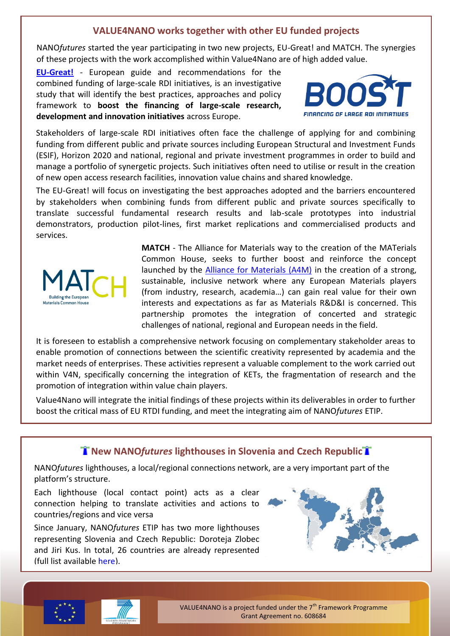## **VALUE4NANO works together with other EU funded projects**

NANO*futures* started the year participating in two new projects, EU-Great! and MATCH. The synergies of these projects with the work accomplished within Value4Nano are of high added value.

**[EU-Great!](http://eu-great.com/)** - European guide and recommendations for the combined funding of large-scale RDI initiatives, is an investigative study that will identify the best practices, approaches and policy framework to **boost the financing of large-scale research, development and innovation initiatives** across Europe.



Stakeholders of large-scale RDI initiatives often face the challenge of applying for and combining funding from different public and private sources including European Structural and Investment Funds (ESIF), Horizon 2020 and national, regional and private investment programmes in order to build and manage a portfolio of synergetic projects. Such initiatives often need to utilise or result in the creation of new open access research facilities, innovation value chains and shared knowledge.

The EU-Great! will focus on investigating the best approaches adopted and the barriers encountered by stakeholders when combining funds from different public and private sources specifically to translate successful fundamental research results and lab-scale prototypes into industrial demonstrators, production pilot-lines, first market replications and commercialised products and services.



**MATCH** - The Alliance for Materials way to the creation of the MATerials Common House, seeks to further boost and reinforce the concept launched by the [Alliance for Materials \(A4M\)](http://www.eumat.eu/home.aspx?lan=230&tab=772&pag=1422) in the creation of a strong, sustainable, inclusive network where any European Materials players (from industry, research, academia…) can gain real value for their own interests and expectations as far as Materials R&D&I is concerned. This partnership promotes the integration of concerted and strategic challenges of national, regional and European needs in the field.

It is foreseen to establish a comprehensive network focusing on complementary stakeholder areas to enable promotion of connections between the scientific creativity represented by academia and the market needs of enterprises. These activities represent a valuable complement to the work carried out within V4N, specifically concerning the integration of KETs, the fragmentation of research and the promotion of integration within value chain players.

Value4Nano will integrate the initial findings of these projects within its deliverables in order to further boost the critical mass of EU RTDI funding, and meet the integrating aim of NANO*futures* ETIP.

# **New NANO***futures* lighthouses in Slovenia and Czech Republic

NANO*futures* lighthouses, a local/regional connections network, are a very important part of the platform's structure.

Each lighthouse (local contact point) acts as a clear connection helping to translate activities and actions to countries/regions and vice versa

Since January, NANO*futures* ETIP has two more lighthouses representing Slovenia and Czech Republic: Doroteja Zlobec and Jiri Kus. In total, 26 countries are already represented (full list available [here\)](http://www.nanofutures.info/structure).







VALUE4NANO is a project funded under the  $7<sup>th</sup>$  Framework Programme Grant Agreement no. 608684